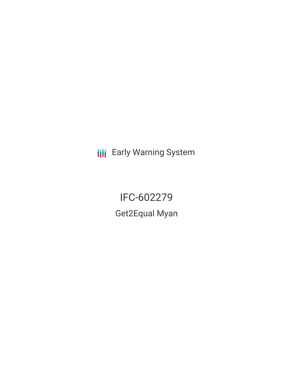**III** Early Warning System

IFC-602279 Get2Equal Myan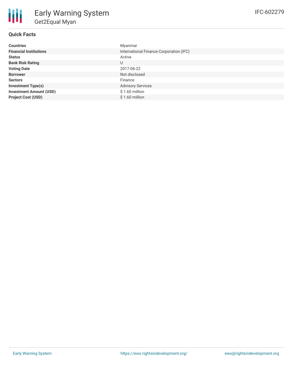## **Quick Facts**

| <b>Countries</b>               | Myanmar                                 |
|--------------------------------|-----------------------------------------|
| <b>Financial Institutions</b>  | International Finance Corporation (IFC) |
| <b>Status</b>                  | Active                                  |
| <b>Bank Risk Rating</b>        | U                                       |
| <b>Voting Date</b>             | 2017-06-22                              |
| <b>Borrower</b>                | Not disclosed                           |
| <b>Sectors</b>                 | Finance                                 |
| <b>Investment Type(s)</b>      | <b>Advisory Services</b>                |
| <b>Investment Amount (USD)</b> | $$1.60$ million                         |
| <b>Project Cost (USD)</b>      | $$1.60$ million                         |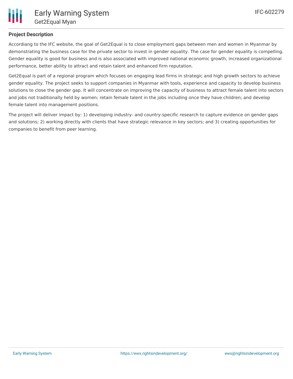

## **Project Description**

Accordiang to the IFC website, the goal of Get2Equal is to close employment gaps between men and women in Myanmar by demonstrating the business case for the private sector to invest in gender equality. The case for gender equality is compelling. Gender equality is good for business and is also associated with improved national economic growth, increased organizational performance, better ability to attract and retain talent and enhanced firm reputation.

Get2Equal is part of a regional program which focuses on engaging lead firms in strategic and high growth sectors to achieve gender equality. The project seeks to support companies in Myanmar with tools, experience and capacity to develop business solutions to close the gender gap. It will concentrate on improving the capacity of business to attract female talent into sectors and jobs not traditionally held by women; retain female talent in the jobs including once they have children; and develop female talent into management positions.

The project will deliver impact by: 1) developing industry- and country-specific research to capture evidence on gender gaps and solutions; 2) working directly with clients that have strategic relevance in key sectors; and 3) creating opportunities for companies to benefit from peer learning.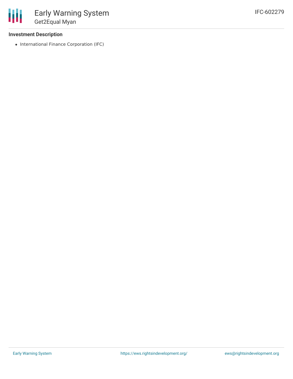## **Investment Description**

• International Finance Corporation (IFC)